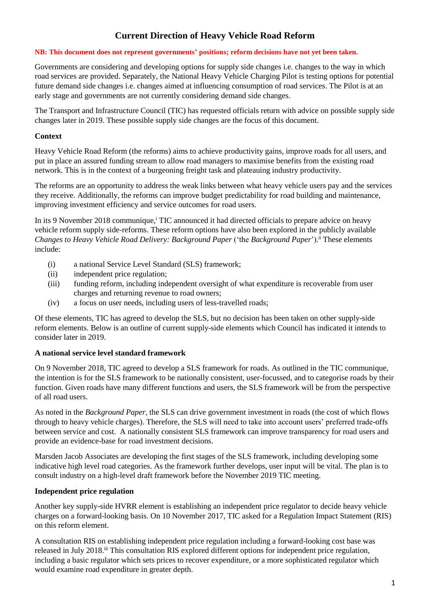# **Current Direction of Heavy Vehicle Road Reform**

#### **NB: This document does not represent governments' positions; reform decisions have not yet been taken.**

Governments are considering and developing options for supply side changes i.e. changes to the way in which road services are provided. Separately, the National Heavy Vehicle Charging Pilot is testing options for potential future demand side changes i.e. changes aimed at influencing consumption of road services. The Pilot is at an early stage and governments are not currently considering demand side changes.

The Transport and Infrastructure Council (TIC) has requested officials return with advice on possible supply side changes later in 2019. These possible supply side changes are the focus of this document.

#### **Context**

Heavy Vehicle Road Reform (the reforms) aims to achieve productivity gains, improve roads for all users, and put in place an assured funding stream to allow road managers to maximise benefits from the existing road network. This is in the context of a burgeoning freight task and plateauing industry productivity.

The reforms are an opportunity to address the weak links between what heavy vehicle users pay and the services they receive. Additionally, the reforms can improve budget predictability for road building and maintenance, improving investment efficiency and service outcomes for road users.

In its 9 November 2018 communique,<sup>i</sup> TIC announced it had directed officials to prepare advice on heavy vehicle reform supply side-reforms. These reform options have also been explored in the publicly available *Changes to Heavy Vehicle Road Delivery: Background Paper* ('the *Background Paper*'). ii These elements include:

- (i) a national Service Level Standard (SLS) framework;
- (ii) independent price regulation;
- (iii) funding reform, including independent oversight of what expenditure is recoverable from user charges and returning revenue to road owners;
- (iv) a focus on user needs, including users of less-travelled roads;

Of these elements, TIC has agreed to develop the SLS, but no decision has been taken on other supply-side reform elements. Below is an outline of current supply-side elements which Council has indicated it intends to consider later in 2019.

#### **A national service level standard framework**

On 9 November 2018, TIC agreed to develop a SLS framework for roads. As outlined in the TIC communique, the intention is for the SLS framework to be nationally consistent, user-focussed, and to categorise roads by their function. Given roads have many different functions and users, the SLS framework will be from the perspective of all road users.

As noted in the *Background Paper*, the SLS can drive government investment in roads (the cost of which flows through to heavy vehicle charges). Therefore, the SLS will need to take into account users' preferred trade-offs between service and cost. A nationally consistent SLS framework can improve transparency for road users and provide an evidence-base for road investment decisions.

Marsden Jacob Associates are developing the first stages of the SLS framework, including developing some indicative high level road categories. As the framework further develops, user input will be vital. The plan is to consult industry on a high-level draft framework before the November 2019 TIC meeting.

#### **Independent price regulation**

Another key supply-side HVRR element is establishing an independent price regulator to decide heavy vehicle charges on a forward-looking basis. On 10 November 2017, TIC asked for a Regulation Impact Statement (RIS) on this reform element.

A consultation RIS on establishing independent price regulation including a forward-looking cost base was released in July 2018.<sup>iii</sup> This consultation RIS explored different options for independent price regulation, including a basic regulator which sets prices to recover expenditure, or a more sophisticated regulator which would examine road expenditure in greater depth.